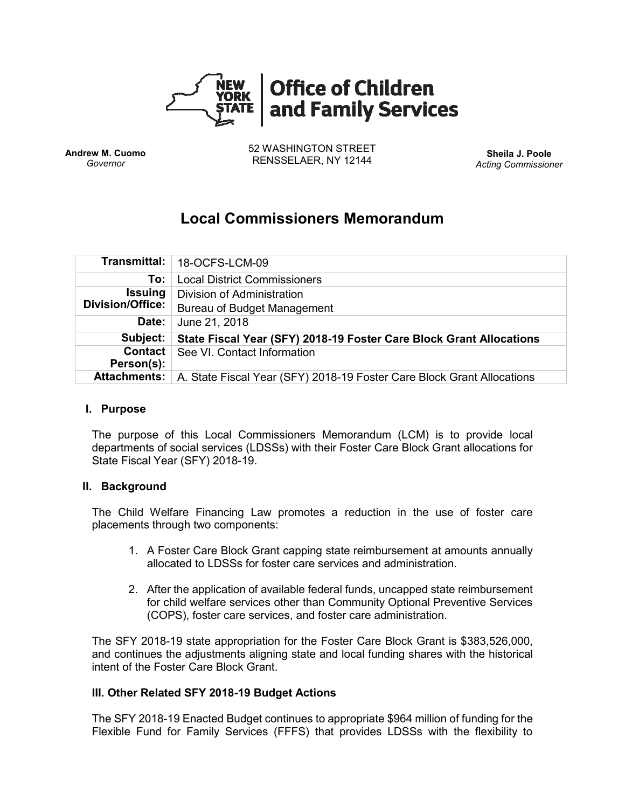

**Andrew M. Cuomo** *Governor*

52 WASHINGTON STREET RENSSELAER, NY 12144 **Sheila J. Poole**

*Acting Commissioner*

# **Local Commissioners Memorandum**

|                         | Transmittal:   18-OCFS-LCM-09                                          |
|-------------------------|------------------------------------------------------------------------|
| To:                     | <b>Local District Commissioners</b>                                    |
| <b>Issuing</b>          | Division of Administration                                             |
| <b>Division/Office:</b> | Bureau of Budget Management                                            |
| Date:                   | June 21, 2018                                                          |
| Subject:                | State Fiscal Year (SFY) 2018-19 Foster Care Block Grant Allocations    |
| Contact<br>Person(s):   | See VI. Contact Information                                            |
| <b>Attachments:</b>     | A. State Fiscal Year (SFY) 2018-19 Foster Care Block Grant Allocations |

#### **I. Purpose**

The purpose of this Local Commissioners Memorandum (LCM) is to provide local departments of social services (LDSSs) with their Foster Care Block Grant allocations for State Fiscal Year (SFY) 2018-19.

#### **II. Background**

The Child Welfare Financing Law promotes a reduction in the use of foster care placements through two components:

- 1. A Foster Care Block Grant capping state reimbursement at amounts annually allocated to LDSSs for foster care services and administration.
- 2. After the application of available federal funds, uncapped state reimbursement for child welfare services other than Community Optional Preventive Services (COPS), foster care services, and foster care administration.

The SFY 2018-19 state appropriation for the Foster Care Block Grant is \$383,526,000, and continues the adjustments aligning state and local funding shares with the historical intent of the Foster Care Block Grant.

#### **III. Other Related SFY 2018-19 Budget Actions**

The SFY 2018-19 Enacted Budget continues to appropriate \$964 million of funding for the Flexible Fund for Family Services (FFFS) that provides LDSSs with the flexibility to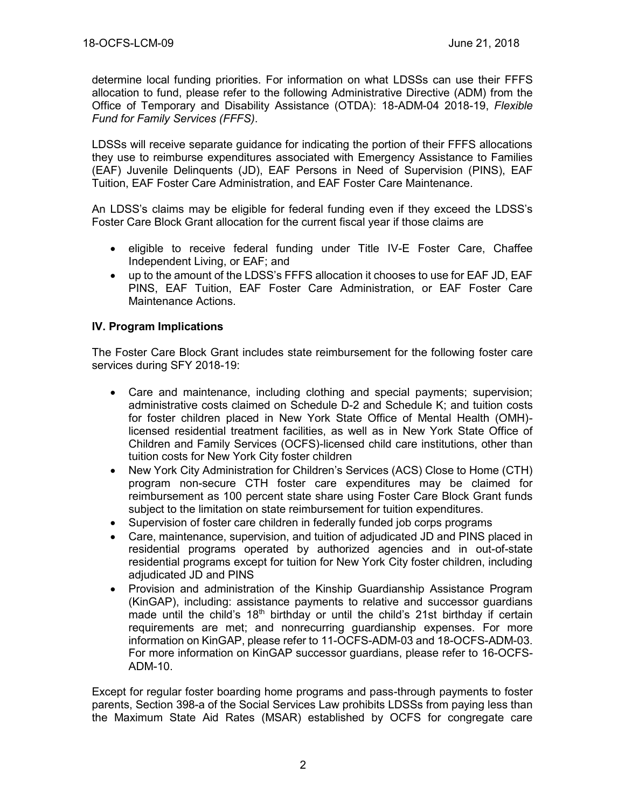determine local funding priorities. For information on what LDSSs can use their FFFS allocation to fund, please refer to the following Administrative Directive (ADM) from the Office of Temporary and Disability Assistance (OTDA): 18-ADM-04 2018-19, *Flexible Fund for Family Services (FFFS)*.

LDSSs will receive separate guidance for indicating the portion of their FFFS allocations they use to reimburse expenditures associated with Emergency Assistance to Families (EAF) Juvenile Delinquents (JD), EAF Persons in Need of Supervision (PINS), EAF Tuition, EAF Foster Care Administration, and EAF Foster Care Maintenance.

An LDSS's claims may be eligible for federal funding even if they exceed the LDSS's Foster Care Block Grant allocation for the current fiscal year if those claims are

- eligible to receive federal funding under Title IV-E Foster Care, Chaffee Independent Living, or EAF; and
- up to the amount of the LDSS's FFFS allocation it chooses to use for EAF JD, EAF PINS, EAF Tuition, EAF Foster Care Administration, or EAF Foster Care Maintenance Actions.

### **IV. Program Implications**

The Foster Care Block Grant includes state reimbursement for the following foster care services during SFY 2018-19:

- Care and maintenance, including clothing and special payments; supervision; administrative costs claimed on Schedule D-2 and Schedule K; and tuition costs for foster children placed in New York State Office of Mental Health (OMH) licensed residential treatment facilities, as well as in New York State Office of Children and Family Services (OCFS)-licensed child care institutions, other than tuition costs for New York City foster children
- New York City Administration for Children's Services (ACS) Close to Home (CTH) program non-secure CTH foster care expenditures may be claimed for reimbursement as 100 percent state share using Foster Care Block Grant funds subject to the limitation on state reimbursement for tuition expenditures.
- Supervision of foster care children in federally funded job corps programs
- Care, maintenance, supervision, and tuition of adjudicated JD and PINS placed in residential programs operated by authorized agencies and in out-of-state residential programs except for tuition for New York City foster children, including adjudicated JD and PINS
- Provision and administration of the Kinship Guardianship Assistance Program (KinGAP), including: assistance payments to relative and successor guardians made until the child's  $18<sup>th</sup>$  birthday or until the child's 21st birthday if certain requirements are met; and nonrecurring guardianship expenses. For more information on KinGAP, please refer to 11-OCFS-ADM-03 and 18-OCFS-ADM-03. For more information on KinGAP successor guardians, please refer to 16-OCFS-ADM-10.

Except for regular foster boarding home programs and pass-through payments to foster parents, Section 398-a of the Social Services Law prohibits LDSSs from paying less than the Maximum State Aid Rates (MSAR) established by OCFS for congregate care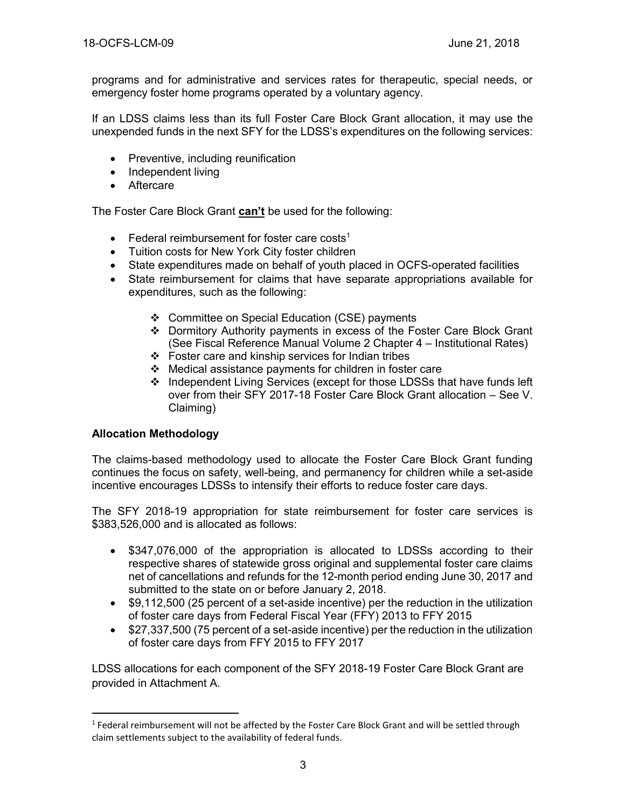programs and for administrative and services rates for therapeutic, special needs, or emergency foster home programs operated by a voluntary agency.

If an LDSS claims less than its full Foster Care Block Grant allocation, it may use the unexpended funds in the next SFY for the LDSS's expenditures on the following services:

- Preventive, including reunification
- Independent living
- Aftercare

The Foster Care Block Grant **can't** be used for the following:

- Federal reimbursement for foster care costs<sup>1</sup>
- Tuition costs for New York City foster children
- State expenditures made on behalf of youth placed in OCFS-operated facilities
- State reimbursement for claims that have separate appropriations available for expenditures, such as the following:
	- ❖ Committee on Special Education (CSE) payments
	- ❖ Dormitory Authority payments in excess of the Foster Care Block Grant (See Fiscal Reference Manual Volume 2 Chapter 4 – Institutional Rates)
	- ❖ Foster care and kinship services for Indian tribes
	- ❖ Medical assistance payments for children in foster care
	- ❖ Independent Living Services (except for those LDSSs that have funds left over from their SFY 2017-18 Foster Care Block Grant allocation – See V. Claiming)

#### **Allocation Methodology**

 $\overline{\phantom{a}}$ 

The claims-based methodology used to allocate the Foster Care Block Grant funding continues the focus on safety, well-being, and permanency for children while a set-aside incentive encourages LDSSs to intensify their efforts to reduce foster care days.

The SFY 2018-19 appropriation for state reimbursement for foster care services is \$383,526,000 and is allocated as follows:

- \$347,076,000 of the appropriation is allocated to LDSSs according to their respective shares of statewide gross original and supplemental foster care claims net of cancellations and refunds for the 12-month period ending June 30, 2017 and submitted to the state on or before January 2, 2018.
- \$9,112,500 (25 percent of a set-aside incentive) per the reduction in the utilization of foster care days from Federal Fiscal Year (FFY) 2013 to FFY 2015
- \$27,337,500 (75 percent of a set-aside incentive) per the reduction in the utilization of foster care days from FFY 2015 to FFY 2017

LDSS allocations for each component of the SFY 2018-19 Foster Care Block Grant are provided in Attachment A.

<sup>&</sup>lt;sup>1</sup> Federal reimbursement will not be affected by the Foster Care Block Grant and will be settled through claim settlements subject to the availability of federal funds.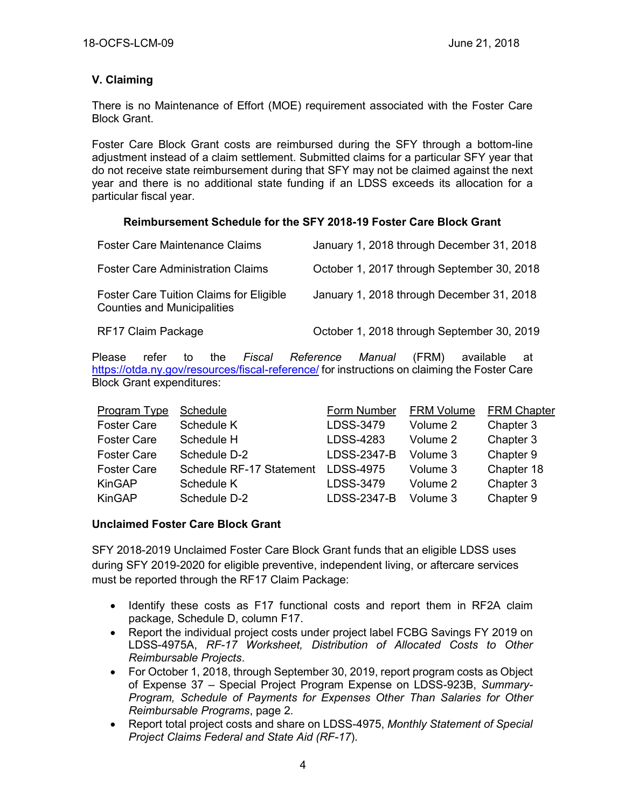## **V. Claiming**

There is no Maintenance of Effort (MOE) requirement associated with the Foster Care Block Grant.

Foster Care Block Grant costs are reimbursed during the SFY through a bottom-line adjustment instead of a claim settlement. Submitted claims for a particular SFY year that do not receive state reimbursement during that SFY may not be claimed against the next year and there is no additional state funding if an LDSS exceeds its allocation for a particular fiscal year.

### **Reimbursement Schedule for the SFY 2018-19 Foster Care Block Grant**

| <b>Foster Care Maintenance Claims</b>                                         | January 1, 2018 through December 31, 2018  |
|-------------------------------------------------------------------------------|--------------------------------------------|
| <b>Foster Care Administration Claims</b>                                      | October 1, 2017 through September 30, 2018 |
| Foster Care Tuition Claims for Eligible<br><b>Counties and Municipalities</b> | January 1, 2018 through December 31, 2018  |
| RF17 Claim Package                                                            | October 1, 2018 through September 30, 2019 |

Please refer to the *Fiscal Reference Manual* (FRM) available at <https://otda.ny.gov/resources/fiscal-reference/> for instructions on claiming the Foster Care Block Grant expenditures:

| Program Type       | Schedule                 | Form Number        | <b>FRM Volume</b> | <b>FRM Chapter</b> |
|--------------------|--------------------------|--------------------|-------------------|--------------------|
| <b>Foster Care</b> | Schedule K               | LDSS-3479          | Volume 2          | Chapter 3          |
| <b>Foster Care</b> | Schedule H               | LDSS-4283          | Volume 2          | Chapter 3          |
| <b>Foster Care</b> | Schedule D-2             | LDSS-2347-B        | Volume 3          | Chapter 9          |
| <b>Foster Care</b> | Schedule RF-17 Statement | LDSS-4975          | Volume 3          | Chapter 18         |
| <b>KinGAP</b>      | Schedule K               | LDSS-3479          | Volume 2          | Chapter 3          |
| <b>KinGAP</b>      | Schedule D-2             | <b>LDSS-2347-B</b> | Volume 3          | Chapter 9          |

### **Unclaimed Foster Care Block Grant**

SFY 2018-2019 Unclaimed Foster Care Block Grant funds that an eligible LDSS uses during SFY 2019-2020 for eligible preventive, independent living, or aftercare services must be reported through the RF17 Claim Package:

- Identify these costs as F17 functional costs and report them in RF2A claim package, Schedule D, column F17.
- Report the individual project costs under project label FCBG Savings FY 2019 on LDSS-4975A, *RF-17 Worksheet, Distribution of Allocated Costs to Other Reimbursable Projects*.
- For October 1, 2018, through September 30, 2019, report program costs as Object of Expense 37 – Special Project Program Expense on LDSS-923B, *Summary-Program, Schedule of Payments for Expenses Other Than Salaries for Other Reimbursable Programs*, page 2.
- Report total project costs and share on LDSS-4975, *Monthly Statement of Special Project Claims Federal and State Aid (RF-17*).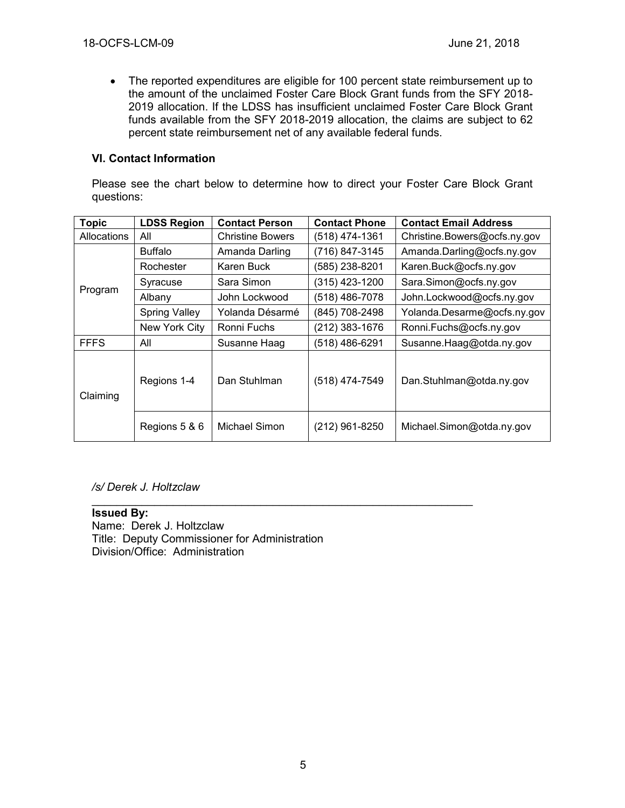• The reported expenditures are eligible for 100 percent state reimbursement up to the amount of the unclaimed Foster Care Block Grant funds from the SFY 2018- 2019 allocation. If the LDSS has insufficient unclaimed Foster Care Block Grant funds available from the SFY 2018-2019 allocation, the claims are subject to 62 percent state reimbursement net of any available federal funds.

#### **VI. Contact Information**

Please see the chart below to determine how to direct your Foster Care Block Grant questions:

| <b>Topic</b>       | <b>LDSS Region</b>   | <b>Contact Person</b>   | <b>Contact Phone</b> | <b>Contact Email Address</b> |
|--------------------|----------------------|-------------------------|----------------------|------------------------------|
| <b>Allocations</b> | All                  | <b>Christine Bowers</b> | (518) 474-1361       | Christine.Bowers@ocfs.ny.gov |
| Program            | <b>Buffalo</b>       | Amanda Darling          | (716) 847-3145       | Amanda.Darling@ocfs.ny.gov   |
|                    | Rochester            | Karen Buck              | (585) 238-8201       | Karen.Buck@ocfs.ny.gov       |
|                    | Syracuse             | Sara Simon              | (315) 423-1200       | Sara.Simon@ocfs.ny.gov       |
|                    | Albany               | John Lockwood           | (518) 486-7078       | John.Lockwood@ocfs.ny.gov    |
|                    | <b>Spring Valley</b> | Yolanda Désarmé         | (845) 708-2498       | Yolanda.Desarme@ocfs.ny.gov  |
|                    | New York City        | Ronni Fuchs             | (212) 383-1676       | Ronni.Fuchs@ocfs.ny.gov      |
| <b>FFFS</b>        | All                  | Susanne Haag            | (518) 486-6291       | Susanne.Haag@otda.ny.gov     |
| Claiming           | Regions 1-4          | Dan Stuhlman            | $(518)$ 474-7549     | Dan.Stuhlman@otda.ny.gov     |
|                    | Regions 5 & 6        | Michael Simon           | $(212)$ 961-8250     | Michael.Simon@otda.ny.gov    |

\_\_\_\_\_\_\_\_\_\_\_\_\_\_\_\_\_\_\_\_\_\_\_\_\_\_\_\_\_\_\_\_\_\_\_\_\_\_\_\_\_\_\_\_\_\_\_\_\_\_\_\_\_\_\_\_\_\_\_\_\_

#### */s/ Derek J. Holtzclaw*

**Issued By:** Name: Derek J. Holtzclaw Title: Deputy Commissioner for Administration Division/Office: Administration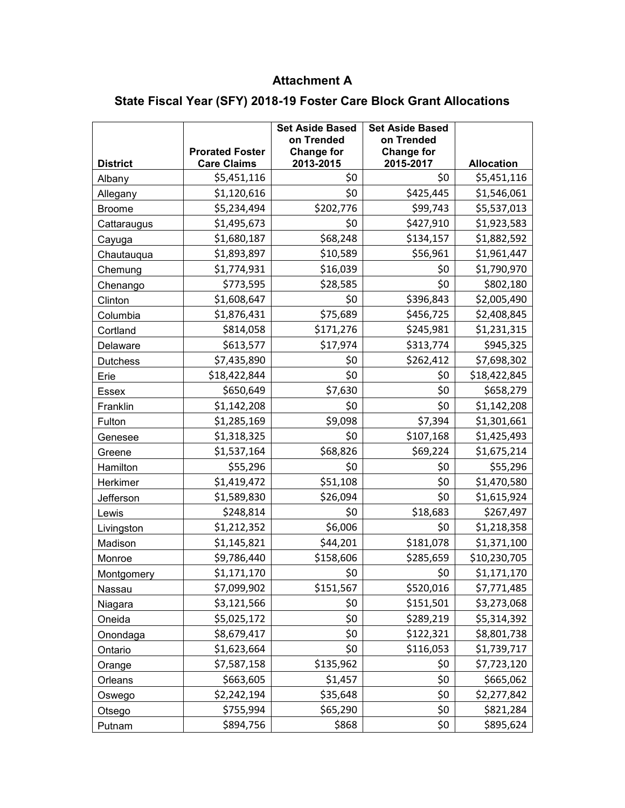# **Attachment A**

# **State Fiscal Year (SFY) 2018-19 Foster Care Block Grant Allocations**

|                 | <b>Prorated Foster</b> | <b>Set Aside Based</b><br>on Trended<br><b>Change for</b> | <b>Set Aside Based</b><br>on Trended<br><b>Change for</b> |                   |
|-----------------|------------------------|-----------------------------------------------------------|-----------------------------------------------------------|-------------------|
| <b>District</b> | <b>Care Claims</b>     | 2013-2015                                                 | 2015-2017                                                 | <b>Allocation</b> |
| Albany          | \$5,451,116            | \$0                                                       | \$0                                                       | \$5,451,116       |
| Allegany        | \$1,120,616            | \$0                                                       | \$425,445                                                 | \$1,546,061       |
| <b>Broome</b>   | \$5,234,494            | \$202,776                                                 | \$99,743                                                  | \$5,537,013       |
| Cattaraugus     | \$1,495,673            | \$0                                                       | \$427,910                                                 | \$1,923,583       |
| Cayuga          | \$1,680,187            | \$68,248                                                  | \$134,157                                                 | \$1,882,592       |
| Chautauqua      | \$1,893,897            | \$10,589                                                  | \$56,961                                                  | \$1,961,447       |
| Chemung         | \$1,774,931            | \$16,039                                                  | \$0                                                       | \$1,790,970       |
| Chenango        | \$773,595              | \$28,585                                                  | \$0                                                       | \$802,180         |
| Clinton         | \$1,608,647            | \$0                                                       | \$396,843                                                 | \$2,005,490       |
| Columbia        | \$1,876,431            | \$75,689                                                  | \$456,725                                                 | \$2,408,845       |
| Cortland        | \$814,058              | \$171,276                                                 | \$245,981                                                 | \$1,231,315       |
| Delaware        | \$613,577              | \$17,974                                                  | \$313,774                                                 | \$945,325         |
| <b>Dutchess</b> | \$7,435,890            | \$0                                                       | \$262,412                                                 | \$7,698,302       |
| Erie            | \$18,422,844           | \$0                                                       | \$0                                                       | \$18,422,845      |
| <b>Essex</b>    | \$650,649              | \$7,630                                                   | \$0                                                       | \$658,279         |
| Franklin        | \$1,142,208            | \$0                                                       | \$0                                                       | \$1,142,208       |
| Fulton          | \$1,285,169            | \$9,098                                                   | \$7,394                                                   | \$1,301,661       |
| Genesee         | \$1,318,325            | \$0                                                       | \$107,168                                                 | \$1,425,493       |
| Greene          | \$1,537,164            | \$68,826                                                  | \$69,224                                                  | \$1,675,214       |
| Hamilton        | \$55,296               | \$0                                                       | \$0                                                       | \$55,296          |
| Herkimer        | \$1,419,472            | \$51,108                                                  | \$0                                                       | \$1,470,580       |
| Jefferson       | \$1,589,830            | \$26,094                                                  | \$0                                                       | \$1,615,924       |
| Lewis           | \$248,814              | \$0                                                       | \$18,683                                                  | \$267,497         |
| Livingston      | \$1,212,352            | \$6,006                                                   | \$0                                                       | \$1,218,358       |
| Madison         | \$1,145,821            | \$44,201                                                  | \$181,078                                                 | \$1,371,100       |
| Monroe          | \$9,786,440            | \$158,606                                                 | \$285,659                                                 | \$10,230,705      |
| Montgomery      | \$1,171,170            | \$0                                                       | \$0                                                       | \$1,171,170       |
| Nassau          | \$7,099,902            | \$151,567                                                 | \$520,016                                                 | \$7,771,485       |
| Niagara         | \$3,121,566            | \$0                                                       | \$151,501                                                 | \$3,273,068       |
| Oneida          | \$5,025,172            | \$0                                                       | \$289,219                                                 | \$5,314,392       |
| Onondaga        | \$8,679,417            | \$0                                                       | \$122,321                                                 | \$8,801,738       |
| Ontario         | \$1,623,664            | \$0                                                       | \$116,053                                                 | \$1,739,717       |
| Orange          | \$7,587,158            | \$135,962                                                 | \$0                                                       | \$7,723,120       |
| Orleans         | \$663,605              | \$1,457                                                   | \$0                                                       | \$665,062         |
| Oswego          | \$2,242,194            | \$35,648                                                  | \$0                                                       | \$2,277,842       |
| Otsego          | \$755,994              | \$65,290                                                  | \$0                                                       | \$821,284         |
| Putnam          | \$894,756              | \$868                                                     | \$0                                                       | \$895,624         |